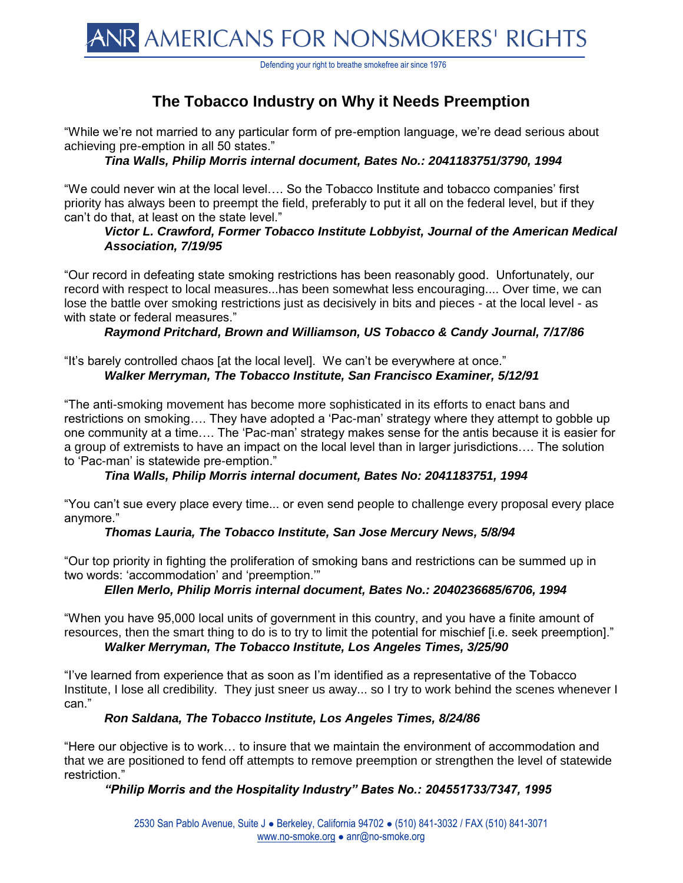

Defending your right to breathe smokefree air since 1976

# **The Tobacco Industry on Why it Needs Preemption**

"While we're not married to any particular form of pre-emption language, we're dead serious about achieving pre-emption in all 50 states."

*Tina Walls, Philip Morris internal document, Bates No.: 2041183751/3790, 1994*

"We could never win at the local level…. So the Tobacco Institute and tobacco companies' first priority has always been to preempt the field, preferably to put it all on the federal level, but if they can't do that, at least on the state level."

#### *Victor L. Crawford, Former Tobacco Institute Lobbyist, Journal of the American Medical Association, 7/19/95*

"Our record in defeating state smoking restrictions has been reasonably good. Unfortunately, our record with respect to local measures...has been somewhat less encouraging.... Over time, we can lose the battle over smoking restrictions just as decisively in bits and pieces - at the local level - as with state or federal measures."

#### *Raymond Pritchard, Brown and Williamson, US Tobacco & Candy Journal, 7/17/86*

"It's barely controlled chaos [at the local level]. We can't be everywhere at once." *Walker Merryman, The Tobacco Institute, San Francisco Examiner, 5/12/91*

"The anti-smoking movement has become more sophisticated in its efforts to enact bans and restrictions on smoking…. They have adopted a 'Pac-man' strategy where they attempt to gobble up one community at a time…. The 'Pac-man' strategy makes sense for the antis because it is easier for a group of extremists to have an impact on the local level than in larger jurisdictions…. The solution to 'Pac-man' is statewide pre-emption."

# *Tina Walls, Philip Morris internal document, Bates No: 2041183751, 1994*

"You can't sue every place every time... or even send people to challenge every proposal every place anymore."

#### *Thomas Lauria, The Tobacco Institute, San Jose Mercury News, 5/8/94*

"Our top priority in fighting the proliferation of smoking bans and restrictions can be summed up in two words: 'accommodation' and 'preemption.'"

# *Ellen Merlo, Philip Morris internal document, Bates No.: 2040236685/6706, 1994*

"When you have 95,000 local units of government in this country, and you have a finite amount of resources, then the smart thing to do is to try to limit the potential for mischief [i.e. seek preemption]."

# *Walker Merryman, The Tobacco Institute, Los Angeles Times, 3/25/90*

"I've learned from experience that as soon as I'm identified as a representative of the Tobacco Institute, I lose all credibility. They just sneer us away... so I try to work behind the scenes whenever I can."

#### *Ron Saldana, The Tobacco Institute, Los Angeles Times, 8/24/86*

"Here our objective is to work… to insure that we maintain the environment of accommodation and that we are positioned to fend off attempts to remove preemption or strengthen the level of statewide restriction."

# *"Philip Morris and the Hospitality Industry" Bates No.: 204551733/7347, 1995*